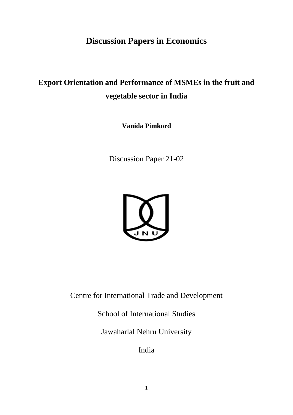## **Discussion Papers in Economics**

# **Export Orientation and Performance of MSMEs in the fruit and vegetable sector in India**

**Vanida Pimkord**

Discussion Paper 21-02



Centre for International Trade and Development

School of International Studies

Jawaharlal Nehru University

India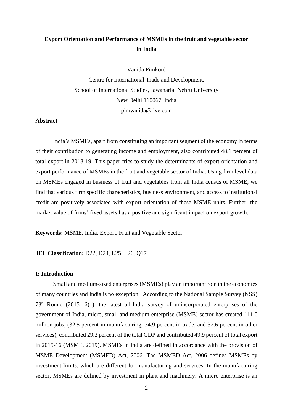### **Export Orientation and Performance of MSMEs in the fruit and vegetable sector in India**

Vanida Pimkord

Centre for International Trade and Development, School of International Studies, Jawaharlal Nehru University New Delhi 110067, India pimvanida@live.com

### **Abstract**

India's MSMEs, apart from constituting an important segment of the economy in terms of their contribution to generating income and employment, also contributed 48.1 percent of total export in 2018-19. This paper tries to study the determinants of export orientation and export performance of MSMEs in the fruit and vegetable sector of India. Using firm level data on MSMEs engaged in business of fruit and vegetables from all India census of MSME, we find that various firm specific characteristics, business environment, and access to institutional credit are positively associated with export orientation of these MSME units. Further, the market value of firms' fixed assets has a positive and significant impact on export growth.

**Keywords:** MSME, India, Export, Fruit and Vegetable Sector

### **JEL Classification:** D22, D24, L25, L26, Q17

#### **I: Introduction**

Small and medium-sized enterprises (MSMEs) play an important role in the economies of many countries and India is no exception. According to the National Sample Survey (NSS) 73rd Round (2015-16) ), the latest all-India survey of unincorporated enterprises of the government of India, micro, small and medium enterprise (MSME) sector has created 111.0 million jobs, (32.5 percent in manufacturing, 34.9 percent in trade, and 32.6 percent in other services), contributed 29.2 percent of the total GDP and contributed 49.9 percent of total export in 2015-16 (MSME, 2019). MSMEs in India are defined in accordance with the provision of MSME Development (MSMED) Act, 2006. The MSMED Act, 2006 defines MSMEs by investment limits, which are different for manufacturing and services. In the manufacturing sector, MSMEs are defined by investment in plant and machinery. A micro enterprise is an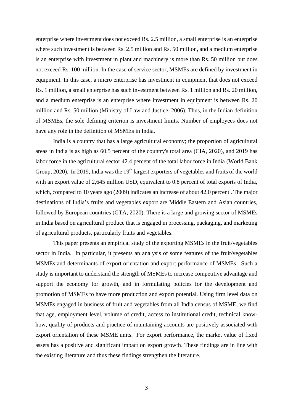enterprise where investment does not exceed Rs. 2.5 million, a small enterprise is an enterprise where such investment is between Rs. 2.5 million and Rs. 50 million, and a medium enterprise is an enterprise with investment in plant and machinery is more than Rs. 50 million but does not exceed Rs. 100 million. In the case of service sector, MSMEs are defined by investment in equipment. In this case, a micro enterprise has investment in equipment that does not exceed Rs. 1 million, a small enterprise has such investment between Rs. 1 million and Rs. 20 million, and a medium enterprise is an enterprise where investment in equipment is between Rs. 20 million and Rs. 50 million (Ministry of Law and Justice, 2006). Thus, in the Indian definition of MSMEs, the sole defining criterion is investment limits. Number of employees does not have any role in the definition of MSMEs in India.

India is a country that has a large agricultural economy; the proportion of agricultural areas in India is as high as 60.5 percent of the country's total area (CIA, 2020), and 2019 has labor force in the agricultural sector 42.4 percent of the total labor force in India (World Bank Group, 2020). In 2019, India was the 19<sup>th</sup> largest exporters of vegetables and fruits of the world with an export value of 2,645 million USD, equivalent to 0.8 percent of total exports of India, which, compared to 10 years ago (2009) indicates an increase of about 42.0 percent . The major destinations of India's fruits and vegetables export are Middle Eastern and Asian countries, followed by European countries (GTA, 2020). There is a large and growing sector of MSMEs in India based on agricultural produce that is engaged in processing, packaging, and marketing of agricultural products, particularly fruits and vegetables.

This paper presents an empirical study of the exporting MSMEs in the fruit/vegetables sector in India. In particular, it presents an analysis of some features of the fruit/vegetables MSMEs and determinants of export orientation and export performance of MSMEs. Such a study is important to understand the strength of MSMEs to increase competitive advantage and support the economy for growth, and in formulating policies for the development and promotion of MSMEs to have more production and export potential. Using firm level data on MSMEs engaged in business of fruit and vegetables from all India census of MSME, we find that age, employment level, volume of credit, access to institutional credit, technical knowhow, quality of products and practice of maintaining accounts are positively associated with export orientation of these MSME units. For export performance, the market value of fixed assets has a positive and significant impact on export growth. These findings are in line with the existing literature and thus these findings strengthen the literature.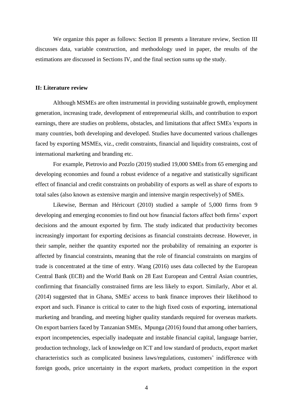We organize this paper as follows: Section II presents a literature review, Section III discusses data, variable construction, and methodology used in paper, the results of the estimations are discussed in Sections IV, and the final section sums up the study.

### **II: Literature review**

Although MSMEs are often instrumental in providing sustainable growth, employment generation, increasing trade, development of entrepreneurial skills, and contribution to export earnings, there are studies on problems, obstacles, and limitations that affect SMEs 'exports in many countries, both developing and developed. Studies have documented various challenges faced by exporting MSMEs, viz., credit constraints, financial and liquidity constraints, cost of international marketing and branding etc.

For example, Pietrovio and Pozzlo (2019) studied 19,000 SMEs from 65 emerging and developing economies and found a robust evidence of a negative and statistically significant effect of financial and credit constraints on probability of exports as well as share of exports to total sales (also known as extensive margin and intensive margin respectively) of SMEs.

Likewise, Berman and Héricourt (2010) studied a sample of 5,000 firms from 9 developing and emerging economies to find out how financial factors affect both firms' export decisions and the amount exported by firm. The study indicated that productivity becomes increasingly important for exporting decisions as financial constraints decrease. However, in their sample, neither the quantity exported nor the probability of remaining an exporter is affected by financial constraints, meaning that the role of financial constraints on margins of trade is concentrated at the time of entry. Wang (2016) uses data collected by the European Central Bank (ECB) and the World Bank on 28 East European and Central Asian countries, confirming that financially constrained firms are less likely to export. Similarly, Abor et al. (2014) suggested that in Ghana, SMEs' access to bank finance improves their likelihood to export and such. Finance is critical to cater to the high fixed costs of exporting, international marketing and branding, and meeting higher quality standards required for overseas markets. On export barriers faced by Tanzanian SMEs, Mpunga (2016) found that among other barriers, export incompetencies, especially inadequate and instable financial capital, language barrier, production technology, lack of knowledge on ICT and low standard of products, export market characteristics such as complicated business laws/regulations, customers' indifference with foreign goods, price uncertainty in the export markets, product competition in the export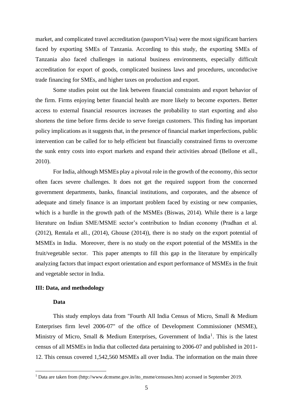market, and complicated travel accreditation (passport/Visa) were the most significant barriers faced by exporting SMEs of Tanzania. According to this study, the exporting SMEs of Tanzania also faced challenges in national business environments, especially difficult accreditation for export of goods, complicated business laws and procedures, unconducive trade financing for SMEs, and higher taxes on production and export.

Some studies point out the link between financial constraints and export behavior of the firm. Firms enjoying better financial health are more likely to become exporters. Better access to external financial resources increases the probability to start exporting and also shortens the time before firms decide to serve foreign customers. This finding has important policy implications as it suggests that, in the presence of financial market imperfections, public intervention can be called for to help efficient but financially constrained firms to overcome the sunk entry costs into export markets and expand their activities abroad (Bellone et all., 2010).

For India, although MSMEs play a pivotal role in the growth of the economy, this sector often faces severe challenges. It does not get the required support from the concerned government departments, banks, financial institutions, and corporates, and the absence of adequate and timely finance is an important problem faced by existing or new companies, which is a hurdle in the growth path of the MSMEs (Biswas, 2014). While there is a large literature on Indian SME/MSME sector's contribution to Indian economy (Pradhan et al. (2012), Rentala et all., (2014), Ghouse (2014)), there is no study on the export potential of MSMEs in India. Moreover, there is no study on the export potential of the MSMEs in the fruit/vegetable sector. This paper attempts to fill this gap in the literature by empirically analyzing factors that impact export orientation and export performance of MSMEs in the fruit and vegetable sector in India.

### **III: Data, and methodology**

### **Data**

This study employs data from "Fourth All India Census of Micro, Small & Medium Enterprises firm level 2006-07" of the office of Development Commissioner (MSME), Ministry of Micro, Small & Medium Enterprises, Government of India<sup>1</sup>. This is the latest census of all MSMEs in India that collected data pertaining to 2006-07 and published in 2011- 12. This census covered 1,542,560 MSMEs all over India. The information on the main three

<sup>1</sup> Data are taken from (http://www.dcmsme.gov.in/ito\_msme/censuses.htm) accessed in September 2019.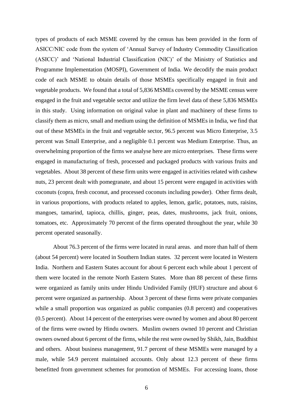types of products of each MSME covered by the census has been provided in the form of ASICC/NIC code from the system of 'Annual Survey of Industry Commodity Classification (ASICC)' and 'National Industrial Classification (NIC)' of the Ministry of Statistics and Programme Implementation (MOSPI), Government of India. We decodify the main product code of each MSME to obtain details of those MSMEs specifically engaged in fruit and vegetable products. We found that a total of 5,836 MSMEs covered by the MSME census were engaged in the fruit and vegetable sector and utilize the firm level data of these 5,836 MSMEs in this study. Using information on original value in plant and machinery of these firms to classify them as micro, small and medium using the definition of MSMEs in India, we find that out of these MSMEs in the fruit and vegetable sector, 96.5 percent was Micro Enterprise, 3.5 percent was Small Enterprise, and a negligible 0.1 percent was Medium Enterprise. Thus, an overwhelming proportion of the firms we analyse here are micro enterprises. These firms were engaged in manufacturing of fresh, processed and packaged products with various fruits and vegetables. About 38 percent of these firm units were engaged in activities related with cashew nuts, 23 percent dealt with pomegranate, and about 15 percent were engaged in activities with coconuts (copra, fresh coconut, and processed coconuts including powder). Other firms dealt, in various proportions, with products related to apples, lemon, garlic, potatoes, nuts, raisins, mangoes, tamarind, tapioca, chillis, ginger, peas, dates, mushrooms, jack fruit, onions, tomatoes, etc. Approximately 70 percent of the firms operated throughout the year, while 30 percent operated seasonally.

About 76.3 percent of the firms were located in rural areas. and more than half of them (about 54 percent) were located in Southern Indian states. 32 percent were located in Western India. Northern and Eastern States account for about 6 percent each while about 1 percent of them were located in the remote North Eastern States. More than 88 percent of these firms were organized as family units under Hindu Undivided Family (HUF) structure and about 6 percent were organized as partnership. About 3 percent of these firms were private companies while a small proportion was organized as public companies  $(0.8$  percent) and cooperatives (0.5 percent). About 14 percent of the enterprises were owned by women and about 80 percent of the firms were owned by Hindu owners. Muslim owners owned 10 percent and Christian owners owned about 6 percent of the firms, while the rest were owned by Shikh, Jain, Buddhist and others. About business management, 91.7 percent of these MSMEs were managed by a male, while 54.9 percent maintained accounts. Only about 12.3 percent of these firms benefitted from government schemes for promotion of MSMEs. For accessing loans, those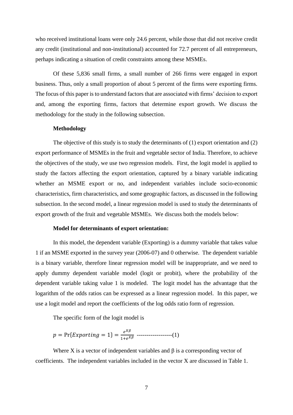who received institutional loans were only 24.6 percent, while those that did not receive credit any credit (institutional and non-institutional) accounted for 72.7 percent of all entrepreneurs, perhaps indicating a situation of credit constraints among these MSMEs.

Of these 5,836 small firms, a small number of 266 firms were engaged in export business. Thus, only a small proportion of about 5 percent of the firms were exporting firms. The focus of this paper is to understand factors that are associated with firms' decision to export and, among the exporting firms, factors that determine export growth. We discuss the methodology for the study in the following subsection.

### **Methodology**

The objective of this study is to study the determinants of (1) export orientation and (2) export performance of MSMEs in the fruit and vegetable sector of India. Therefore, to achieve the objectives of the study, we use two regression models. First, the logit model is applied to study the factors affecting the export orientation, captured by a binary variable indicating whether an MSME export or no, and independent variables include socio-economic characteristics, firm characteristics, and some geographic factors, as discussed in the following subsection. In the second model, a linear regression model is used to study the determinants of export growth of the fruit and vegetable MSMEs. We discuss both the models below:

#### **Model for determinants of export orientation:**

In this model, the dependent variable (Exporting) is a dummy variable that takes value 1 if an MSME exported in the survey year (2006-07) and 0 otherwise. The dependent variable is a binary variable, therefore linear regression model will be inappropriate, and we need to apply dummy dependent variable model (logit or probit), where the probability of the dependent variable taking value 1 is modeled. The logit model has the advantage that the logarithm of the odds ratios can be expressed as a linear regression model. In this paper, we use a logit model and report the coefficients of the log odds ratio form of regression.

The specific form of the logit model is

 = Pr{ = 1} = 1+ ------------------(1)

Where X is a vector of independent variables and  $\beta$  is a corresponding vector of coefficients. The independent variables included in the vector X are discussed in Table 1.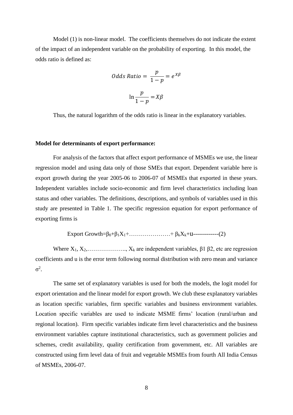Model (1) is non-linear model. The coefficients themselves do not indicate the extent of the impact of an independent variable on the probability of exporting. In this model, the odds ratio is defined as:

Odds Ratio = 
$$
\frac{p}{1-p} = e^{X\beta}
$$

$$
\ln \frac{p}{1-p} = X\beta
$$

Thus, the natural logarithm of the odds ratio is linear in the explanatory variables.

### **Model for determinants of export performance:**

For analysis of the factors that affect export performance of MSMEs we use, the linear regression model and using data only of those SMEs that export. Dependent variable here is export growth during the year 2005-06 to 2006-07 of MSMEs that exported in these years. Independent variables include socio-economic and firm level characteristics including loan status and other variables. The definitions, descriptions, and symbols of variables used in this study are presented in Table 1. The specific regression equation for export performance of exporting firms is

$$
Export Growth = β0+β1X1+..............+βkXk+u
$$
---(2)

Where  $X_1, X_2, \ldots, X_k$  are independent variables,  $\beta$ 1  $\beta$ 2, etc are regression coefficients and u is the error term following normal distribution with zero mean and variance  $σ<sup>2</sup>$ .

The same set of explanatory variables is used for both the models, the logit model for export orientation and the linear model for export growth. We club these explanatory variables as location specific variables, firm specific variables and business environment variables. Location specific variables are used to indicate MSME firms' location (rural/urban and regional location). Firm specific variables indicate firm level characteristics and the business environment variables capture institutional characteristics, such as government policies and schemes, credit availability, quality certification from government, etc. All variables are constructed using firm level data of fruit and vegetable MSMEs from fourth All India Census of MSMEs, 2006-07.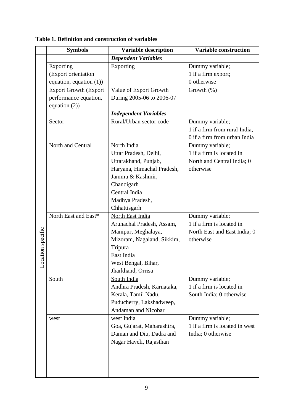|                   | <b>Symbols</b>               | <b>Variable description</b>  | <b>Variable construction</b>   |  |  |
|-------------------|------------------------------|------------------------------|--------------------------------|--|--|
|                   |                              | <b>Dependent Variables</b>   |                                |  |  |
|                   | Exporting                    | Exporting                    | Dummy variable;                |  |  |
|                   | (Export orientation          |                              | 1 if a firm export;            |  |  |
|                   | equation, equation $(1)$ )   |                              | 0 otherwise                    |  |  |
|                   | <b>Export Growth (Export</b> | Value of Export Growth       | Growth (%)                     |  |  |
|                   | performance equation,        | During 2005-06 to 2006-07    |                                |  |  |
|                   | equation $(2)$ )             |                              |                                |  |  |
|                   |                              | <b>Independent Variables</b> |                                |  |  |
|                   | Sector                       | Rural/Urban sector code      | Dummy variable;                |  |  |
|                   |                              |                              | 1 if a firm from rural India,  |  |  |
|                   |                              |                              | 0 if a firm from urban India   |  |  |
|                   | North and Central            | North India                  | Dummy variable;                |  |  |
|                   |                              | Uttar Pradesh, Delhi,        | 1 if a firm is located in      |  |  |
|                   |                              | Uttarakhand, Punjab,         | North and Central India; 0     |  |  |
|                   |                              | Haryana, Himachal Pradesh,   | otherwise                      |  |  |
|                   |                              | Jammu & Kashmir,             |                                |  |  |
|                   |                              | Chandigarh                   |                                |  |  |
|                   |                              | Central India                |                                |  |  |
|                   |                              | Madhya Pradesh,              |                                |  |  |
|                   |                              | Chhattisgarh                 |                                |  |  |
| Location specific | North East and East*         | North East India             | Dummy variable;                |  |  |
|                   |                              | Arunachal Pradesh, Assam,    | 1 if a firm is located in      |  |  |
|                   |                              | Manipur, Meghalaya,          | North East and East India; 0   |  |  |
|                   |                              | Mizoram, Nagaland, Sikkim,   | otherwise                      |  |  |
|                   |                              | Tripura                      |                                |  |  |
|                   |                              | East India                   |                                |  |  |
|                   |                              | West Bengal, Bihar,          |                                |  |  |
|                   |                              | Jharkhand, Orrisa            |                                |  |  |
|                   | South                        | South India                  | Dummy variable;                |  |  |
|                   |                              | Andhra Pradesh, Karnataka,   | 1 if a firm is located in      |  |  |
|                   |                              | Kerala, Tamil Nadu,          | South India; 0 otherwise       |  |  |
|                   |                              | Puducherry, Lakshadweep,     |                                |  |  |
|                   |                              | <b>Andaman and Nicobar</b>   |                                |  |  |
|                   | west                         | west India                   | Dummy variable;                |  |  |
|                   |                              | Goa, Gujarat, Maharashtra,   | 1 if a firm is located in west |  |  |
|                   |                              | Daman and Diu, Dadra and     | India; 0 otherwise             |  |  |
|                   |                              | Nagar Haveli, Rajasthan      |                                |  |  |
|                   |                              |                              |                                |  |  |
|                   |                              |                              |                                |  |  |
|                   |                              |                              |                                |  |  |
|                   |                              |                              |                                |  |  |

### **Table 1. Definition and construction of variables**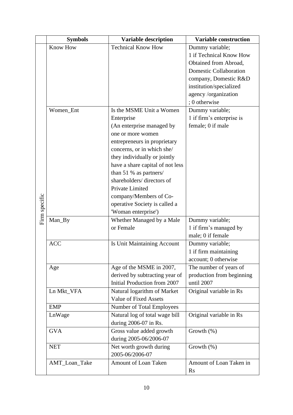|               | <b>Symbols</b>  | <b>Variable construction</b>                               |                                               |
|---------------|-----------------|------------------------------------------------------------|-----------------------------------------------|
|               | <b>Know How</b> | <b>Technical Know How</b>                                  | Dummy variable;                               |
|               |                 |                                                            | 1 if Technical Know How                       |
|               |                 |                                                            | Obtained from Abroad,                         |
|               |                 |                                                            | <b>Domestic Collaboration</b>                 |
|               |                 |                                                            | company, Domestic R&D                         |
|               |                 |                                                            | institution/specialized                       |
|               |                 |                                                            | agency /organization                          |
|               |                 |                                                            | ; 0 otherwise                                 |
|               | Women_Ent       | Is the MSME Unit a Women                                   | Dummy variable;                               |
|               |                 | Enterprise                                                 | 1 if firm's enterprise is                     |
|               |                 | (An enterprise managed by                                  | female; 0 if male                             |
|               |                 | one or more women                                          |                                               |
|               |                 | entrepreneurs in proprietary                               |                                               |
|               |                 | concerns, or in which she/                                 |                                               |
|               |                 | they individually or jointly                               |                                               |
|               |                 | have a share capital of not less                           |                                               |
|               |                 | than 51 % as partners/                                     |                                               |
|               |                 | shareholders/directors of                                  |                                               |
| Firm specific |                 | Private Limited                                            |                                               |
|               |                 | company/Members of Co-                                     |                                               |
|               |                 | operative Society is called a                              |                                               |
|               |                 | 'Woman enterprise')                                        |                                               |
|               | Man_By          | Whether Managed by a Male                                  | Dummy variable;                               |
|               |                 | or Female                                                  | 1 if firm's managed by                        |
|               |                 |                                                            | male; 0 if female                             |
|               | <b>ACC</b>      | Is Unit Maintaining Account                                | Dummy variable;                               |
|               |                 |                                                            | 1 if firm maintaining<br>account; 0 otherwise |
|               |                 |                                                            |                                               |
|               | Age             | Age of the MSME in 2007,<br>derived by subtracting year of | The number of years of                        |
|               |                 | Initial Production from 2007                               | production from beginning<br>until 2007       |
|               | Ln Mkt_VFA      | Natural logarithm of Market                                | Original variable in Rs                       |
|               |                 | <b>Value of Fixed Assets</b>                               |                                               |
|               | <b>EMP</b>      | Number of Total Employees                                  |                                               |
|               | LnWage          | Natural log of total wage bill                             | Original variable in Rs                       |
|               |                 | during 2006-07 in Rs.                                      |                                               |
|               | <b>GVA</b>      | Gross value added growth                                   | Growth $(\%)$                                 |
|               |                 | during 2005-06/2006-07                                     |                                               |
|               | <b>NET</b>      | Net worth growth during                                    | Growth $(\%)$                                 |
|               |                 | 2005-06/2006-07                                            |                                               |
|               | AMT_Loan_Take   | Amount of Loan Taken                                       | Amount of Loan Taken in                       |
|               |                 |                                                            | <b>Rs</b>                                     |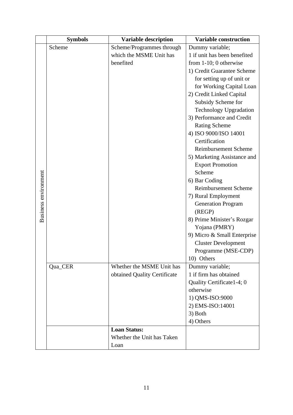|                             | <b>Symbols</b> | <b>Variable description</b>  | <b>Variable construction</b>              |  |  |
|-----------------------------|----------------|------------------------------|-------------------------------------------|--|--|
|                             | Scheme         | Scheme/Programmes through    | Dummy variable;                           |  |  |
|                             |                | which the MSME Unit has      | 1 if unit has been benefited              |  |  |
|                             |                | benefited                    | from $1-10$ ; 0 otherwise                 |  |  |
|                             |                |                              | 1) Credit Guarantee Scheme                |  |  |
|                             |                |                              | for setting up of unit or                 |  |  |
|                             |                |                              | for Working Capital Loan                  |  |  |
|                             |                |                              | 2) Credit Linked Capital                  |  |  |
|                             |                |                              | Subsidy Scheme for                        |  |  |
|                             |                |                              | <b>Technology Upgradation</b>             |  |  |
|                             |                |                              | 3) Performance and Credit                 |  |  |
|                             |                |                              | <b>Rating Scheme</b>                      |  |  |
|                             |                |                              | 4) ISO 9000/ISO 14001                     |  |  |
|                             |                |                              | Certification                             |  |  |
|                             |                |                              | Reimbursement Scheme                      |  |  |
|                             |                |                              | 5) Marketing Assistance and               |  |  |
|                             |                |                              | <b>Export Promotion</b>                   |  |  |
|                             |                |                              | Scheme                                    |  |  |
|                             |                |                              | 6) Bar Coding                             |  |  |
|                             |                |                              | <b>Reimbursement Scheme</b>               |  |  |
|                             |                |                              | 7) Rural Employment                       |  |  |
|                             |                |                              | <b>Generation Program</b>                 |  |  |
| <b>Business environment</b> |                |                              | (REGP)                                    |  |  |
|                             |                |                              | 8) Prime Minister's Rozgar                |  |  |
|                             |                |                              | Yojana (PMRY)                             |  |  |
|                             |                |                              | 9) Micro & Small Enterprise               |  |  |
|                             |                |                              | <b>Cluster Development</b>                |  |  |
|                             |                |                              | Programme (MSE-CDP)                       |  |  |
|                             |                |                              | 10) Others                                |  |  |
|                             | Qua_CER        | Whether the MSME Unit has    | Dummy variable;<br>1 if firm has obtained |  |  |
|                             |                | obtained Quality Certificate |                                           |  |  |
|                             |                |                              | Quality Certificate 1-4; 0<br>otherwise   |  |  |
|                             |                |                              |                                           |  |  |
|                             |                |                              | 1) QMS-ISO:9000                           |  |  |
|                             |                |                              | 2) EMS-ISO:14001                          |  |  |
|                             |                |                              | 3) Both<br>4) Others                      |  |  |
|                             |                | <b>Loan Status:</b>          |                                           |  |  |
|                             |                | Whether the Unit has Taken   |                                           |  |  |
|                             |                | Loan                         |                                           |  |  |
|                             |                |                              |                                           |  |  |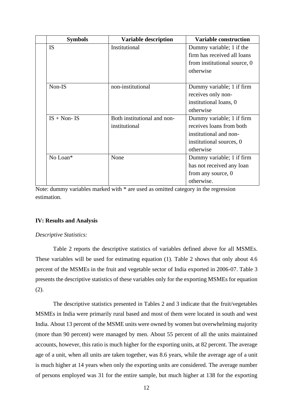| <b>Symbols</b> | <b>Variable description</b> | <b>Variable construction</b> |
|----------------|-----------------------------|------------------------------|
| <b>IS</b>      | Institutional               | Dummy variable; 1 if the     |
|                |                             | firm has received all loans  |
|                |                             | from institutional source, 0 |
|                |                             | otherwise                    |
|                |                             |                              |
| Non-IS         | non-institutional           | Dummy variable; 1 if firm    |
|                |                             | receives only non-           |
|                |                             | institutional loans, 0       |
|                |                             | otherwise                    |
| $IS + Non- IS$ | Both institutional and non- | Dummy variable; 1 if firm    |
|                | institutional               | receives loans from both     |
|                |                             | institutional and non-       |
|                |                             | institutional sources, 0     |
|                |                             | otherwise                    |
| No Loan*       | None                        | Dummy variable; 1 if firm    |
|                |                             | has not received any loan    |
|                |                             | from any source, 0           |
|                |                             | otherwise.                   |

Note: dummy variables marked with \* are used as omitted category in the regression estimation.

### **IV: Results and Analysis**

### *Descriptive Statistics:*

Table 2 reports the descriptive statistics of variables defined above for all MSMEs. These variables will be used for estimating equation (1). Table 2 shows that only about 4.6 percent of the MSMEs in the fruit and vegetable sector of India exported in 2006-07. Table 3 presents the descriptive statistics of these variables only for the exporting MSMEs for equation (2).

The descriptive statistics presented in Tables 2 and 3 indicate that the fruit/vegetables MSMEs in India were primarily rural based and most of them were located in south and west India. About 13 percent of the MSME units were owned by women but overwhelming majority (more than 90 percent) were managed by men. About 55 percent of all the units maintained accounts, however, this ratio is much higher for the exporting units, at 82 percent. The average age of a unit, when all units are taken together, was 8.6 years, while the average age of a unit is much higher at 14 years when only the exporting units are considered. The average number of persons employed was 31 for the entire sample, but much higher at 138 for the exporting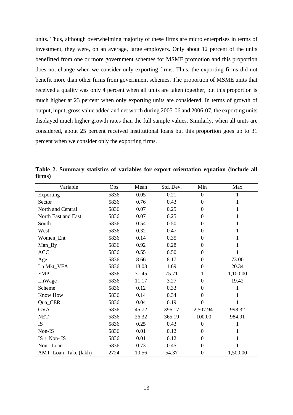units. Thus, although overwhelming majority of these firms are micro enterprises in terms of investment, they were, on an average, large employers. Only about 12 percent of the units benefitted from one or more government schemes for MSME promotion and this proportion does not change when we consider only exporting firms. Thus, the exporting firms did not benefit more than other firms from government schemes. The proportion of MSME units that received a quality was only 4 percent when all units are taken together, but this proportion is much higher at 23 percent when only exporting units are considered. In terms of growth of output, input, gross value added and net worth during 2005-06 and 2006-07, the exporting units displayed much higher growth rates than the full sample values. Similarly, when all units are considered, about 25 percent received institutional loans but this proportion goes up to 31 percent when we consider only the exporting firms.

| Variable             | Obs  | Mean  | Std. Dev. | Min              | Max          |
|----------------------|------|-------|-----------|------------------|--------------|
| Exporting            | 5836 | 0.05  | 0.21      | $\boldsymbol{0}$ | 1            |
| Sector               | 5836 | 0.76  | 0.43      | $\boldsymbol{0}$ | 1            |
| North and Central    | 5836 | 0.07  | 0.25      | $\boldsymbol{0}$ | 1            |
| North East and East  | 5836 | 0.07  | 0.25      | $\boldsymbol{0}$ | 1            |
| South                | 5836 | 0.54  | 0.50      | $\boldsymbol{0}$ | $\mathbf{1}$ |
| West                 | 5836 | 0.32  | 0.47      | $\boldsymbol{0}$ | 1            |
| Women_Ent            | 5836 | 0.14  | 0.35      | $\boldsymbol{0}$ | 1            |
| Man_By               | 5836 | 0.92  | 0.28      | $\boldsymbol{0}$ | 1            |
| <b>ACC</b>           | 5836 | 0.55  | 0.50      | $\boldsymbol{0}$ | 1            |
| Age                  | 5836 | 8.66  | 8.17      | $\boldsymbol{0}$ | 73.00        |
| Ln Mkt_VFA           | 5836 | 13.08 | 1.69      | $\boldsymbol{0}$ | 20.34        |
| <b>EMP</b>           | 5836 | 31.45 | 75.71     | 1                | 1,100.00     |
| LnWage               | 5836 | 11.17 | 3.27      | $\theta$         | 19.42        |
| Scheme               | 5836 | 0.12  | 0.33      | $\boldsymbol{0}$ | 1            |
| Know How             | 5836 | 0.14  | 0.34      | $\boldsymbol{0}$ | 1            |
| Qua_CER              | 5836 | 0.04  | 0.19      | $\boldsymbol{0}$ | 1            |
| <b>GVA</b>           | 5836 | 45.72 | 396.17    | $-2,507.94$      | 998.32       |
| <b>NET</b>           | 5836 | 26.32 | 365.19    | $-100.00$        | 984.91       |
| IS                   | 5836 | 0.25  | 0.43      | $\boldsymbol{0}$ |              |
| Non-IS               | 5836 | 0.01  | 0.12      | $\boldsymbol{0}$ |              |
| $IS + Non- IS$       | 5836 | 0.01  | 0.12      | $\boldsymbol{0}$ |              |
| Non-Loan             | 5836 | 0.73  | 0.45      | $\boldsymbol{0}$ |              |
| AMT_Loan_Take (lakh) | 2724 | 10.56 | 54.37     | $\boldsymbol{0}$ | 1,500.00     |

**Table 2. Summary statistics of variables for export orientation equation (include all firms)**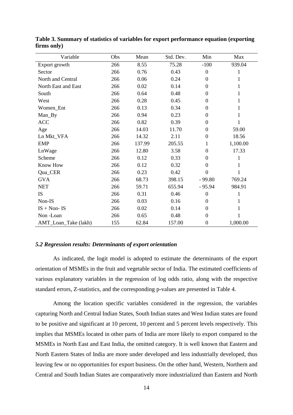| Variable             | Obs | Mean   | Std. Dev. | Min              | Max      |
|----------------------|-----|--------|-----------|------------------|----------|
| Export growth        | 266 | 8.55   | 75.28     | $-100$           | 939.04   |
| Sector               | 266 | 0.76   | 0.43      | $\boldsymbol{0}$ | 1        |
| North and Central    | 266 | 0.06   | 0.24      | $\boldsymbol{0}$ | 1        |
| North East and East  | 266 | 0.02   | 0.14      | $\Omega$         | 1        |
| South                | 266 | 0.64   | 0.48      | $\boldsymbol{0}$ | 1        |
| West                 | 266 | 0.28   | 0.45      | $\Omega$         | 1        |
| Women_Ent            | 266 | 0.13   | 0.34      | $\overline{0}$   | 1        |
| Man_By               | 266 | 0.94   | 0.23      | $\overline{0}$   | 1        |
| <b>ACC</b>           | 266 | 0.82   | 0.39      | $\overline{0}$   |          |
| Age                  | 266 | 14.03  | 11.70     | $\overline{0}$   | 59.00    |
| Ln Mkt_VFA           | 266 | 14.32  | 2.11      | $\overline{0}$   | 18.56    |
| <b>EMP</b>           | 266 | 137.99 | 205.55    | 1                | 1,100.00 |
| LnWage               | 266 | 12.80  | 3.58      | $\overline{0}$   | 17.33    |
| Scheme               | 266 | 0.12   | 0.33      | $\overline{0}$   | 1        |
| Know How             | 266 | 0.12   | 0.32      | $\overline{0}$   | 1        |
| Qua_CER              | 266 | 0.23   | 0.42      | $\boldsymbol{0}$ | 1        |
| <b>GVA</b>           | 266 | 68.73  | 398.15    | $-99.80$         | 769.24   |
| <b>NET</b>           | 266 | 59.71  | 655.94    | $-95.94$         | 984.91   |
| IS                   | 266 | 0.31   | 0.46      | $\boldsymbol{0}$ | 1        |
| Non-IS               | 266 | 0.03   | 0.16      | $\overline{0}$   | 1        |
| $IS + Non- IS$       | 266 | 0.02   | 0.14      | $\overline{0}$   | 1        |
| Non-Loan             | 266 | 0.65   | 0.48      | $\overline{0}$   |          |
| AMT_Loan_Take (lakh) | 155 | 62.84  | 157.00    | $\boldsymbol{0}$ | 1,000.00 |

**Table 3. Summary of statistics of variables for export performance equation (exporting firms only)**

### *5.2 Regression results: Determinants of export orientation*

As indicated, the logit model is adopted to estimate the determinants of the export orientation of MSMEs in the fruit and vegetable sector of India. The estimated coefficients of various explanatory variables in the regression of log odds ratio, along with the respective standard errors, Z-statistics, and the corresponding p-values are presented in Table 4.

Among the location specific variables considered in the regression, the variables capturing North and Central Indian States, South Indian states and West Indian states are found to be positive and significant at 10 percent, 10 percent and 5 percent levels respectively. This implies that MSMEs located in other parts of India are more likely to export compared to the MSMEs in North East and East India, the omitted category. It is well known that Eastern and North Eastern States of India are more under developed and less industrially developed, thus leaving few or no opportunities for export business. On the other hand, Western, Northern and Central and South Indian States are comparatively more industrialized than Eastern and North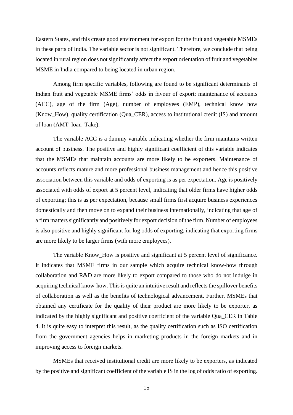Eastern States, and this create good environment for export for the fruit and vegetable MSMEs in these parts of India. The variable sector is not significant. Therefore, we conclude that being located in rural region does not significantly affect the export orientation of fruit and vegetables MSME in India compared to being located in urban region.

Among firm specific variables, following are found to be significant determinants of Indian fruit and vegetable MSME firms' odds in favour of export: maintenance of accounts (ACC), age of the firm (Age), number of employees (EMP), technical know how (Know\_How), quality certification (Qua\_CER), access to institutional credit (IS) and amount of loan (AMT\_loan\_Take).

The variable ACC is a dummy variable indicating whether the firm maintains written account of business. The positive and highly significant coefficient of this variable indicates that the MSMEs that maintain accounts are more likely to be exporters. Maintenance of accounts reflects mature and more professional business management and hence this positive association between this variable and odds of exporting is as per expectation. Age is positively associated with odds of export at 5 percent level, indicating that older firms have higher odds of exporting; this is as per expectation, because small firms first acquire business experiences domestically and then move on to expand their business internationally, indicating that age of a firm matters significantly and positively for export decision of the firm. Number of employees is also positive and highly significant for log odds of exporting, indicating that exporting firms are more likely to be larger firms (with more employees).

The variable Know\_How is positive and significant at 5 percent level of significance. It indicates that MSME firms in our sample which acquire technical know-how through collaboration and R&D are more likely to export compared to those who do not indulge in acquiring technical know-how. This is quite an intuitive result and reflects the spillover benefits of collaboration as well as the benefits of technological advancement. Further, MSMEs that obtained any certificate for the quality of their product are more likely to be exporter, as indicated by the highly significant and positive coefficient of the variable Qua\_CER in Table 4. It is quite easy to interpret this result, as the quality certification such as ISO certification from the government agencies helps in marketing products in the foreign markets and in improving access to foreign markets.

MSMEs that received institutional credit are more likely to be exporters, as indicated by the positive and significant coefficient of the variable IS in the log of odds ratio of exporting.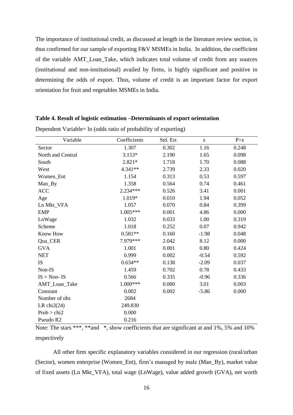The importance of institutional credit, as discussed at length in the literature review section, is thus confirmed for our sample of exporting F&V MSMEs in India. In addition, the coefficient of the variable AMT\_Loan\_Take, which indicates total volume of credit from any sources (institutional and non-institutional) availed by firms, is highly significant and positive in determining the odds of export. Thus, volume of credit is an important factor for export orientation for fruit and vegetables MSMEs in India.

### **Table 4. Result of logistic estimation –Determinants of export orientation**

| Variable          | Coefficients | Std. Err. | $\mathbf{Z}% ^{T}=\mathbf{Z}^{T}\times\mathbf{Z}^{T}$ | P > z |
|-------------------|--------------|-----------|-------------------------------------------------------|-------|
| Sector            | 1.307        | 0.302     | 1.16                                                  | 0.248 |
| North and Central | $3.153*$     | 2.190     | 1.65                                                  | 0.098 |
| South             | $2.821*$     | 1.718     | 1.70                                                  | 0.088 |
| West              | 4.341**      | 2.739     | 2.33                                                  | 0.020 |
| Women_Ent         | 1.154        | 0.313     | 0.53                                                  | 0.597 |
| Man_By            | 1.358        | 0.564     | 0.74                                                  | 0.461 |
| <b>ACC</b>        | 2.234***     | 0.526     | 3.41                                                  | 0.001 |
| Age               | 1.019*       | 0.010     | 1.94                                                  | 0.052 |
| Ln Mkt_VFA        | 1.057        | 0.070     | 0.84                                                  | 0.399 |
| <b>EMP</b>        | $1.005***$   | 0.001     | 4.86                                                  | 0.000 |
| LnWage            | 1.032        | 0.033     | 1.00                                                  | 0.319 |
| Scheme            | 1.018        | 0.252     | 0.07                                                  | 0.942 |
| <b>Know How</b>   | $0.581**$    | 0.160     | $-1.98$                                               | 0.048 |
| Qua_CER           | 7.979***     | 2.042     | 8.12                                                  | 0.000 |
| <b>GVA</b>        | 1.001        | 0.001     | 0.80                                                  | 0.424 |
| <b>NET</b>        | 0.999        | 0.002     | $-0.54$                                               | 0.592 |
| IS                | $0.634**$    | 0.138     | $-2.09$                                               | 0.037 |
| Non-IS            | 1.459        | 0.702     | 0.78                                                  | 0.433 |
| $IS + Non - IS$   | 0.566        | 0.335     | $-0.96$                                               | 0.336 |
| AMT_Loan_Take     | $1.000***$   | 0.000     | 3.01                                                  | 0.003 |
| Constant          | 0.002        | 0.002     | $-5.86$                                               | 0.000 |
| Number of obs     | 2684         |           |                                                       |       |
| LR chi $2(24)$    | 249.830      |           |                                                       |       |
| Prob > chi2       | 0.000        |           |                                                       |       |
| Pseudo R2         | 0.216        |           |                                                       |       |

Dependent Variable= ln (odds ratio of probability of exporting)

Note: The stars \*\*\*, \*\*and \*, show coefficients that are significant at and 1%, 5% and 10% respectively

All other firm specific explanatory variables considered in our regression (rural/urban (Sector), women enterprise (Women\_Ent), firm's managed by male (Man\_By), market value of fixed assets (Ln Mkt\_VFA), total wage (LnWage), value added growth (GVA), net worth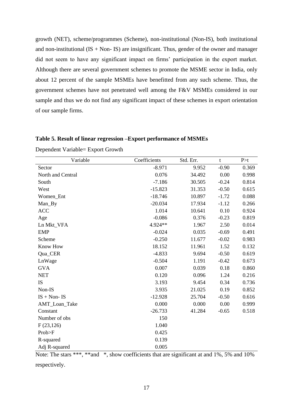growth (NET), scheme/programmes (Scheme), non-institutional (Non-IS), both institutional and non-institutional  $(IS + Non - IS)$  are insignificant. Thus, gender of the owner and manager did not seem to have any significant impact on firms' participation in the export market. Although there are several government schemes to promote the MSME sector in India, only about 12 percent of the sample MSMEs have benefitted from any such scheme. Thus, the government schemes have not penetrated well among the F&V MSMEs considered in our sample and thus we do not find any significant impact of these schemes in export orientation of our sample firms.

### **Table 5. Result of linear regression –Export performance of MSMEs**

| Variable          | Coefficients | Std. Err. | t       | P > t |
|-------------------|--------------|-----------|---------|-------|
| Sector            | $-8.971$     | 9.952     | $-0.90$ | 0.369 |
| North and Central | 0.076        | 34.492    | 0.00    | 0.998 |
| South             | $-7.186$     | 30.505    | $-0.24$ | 0.814 |
| West              | $-15.823$    | 31.353    | $-0.50$ | 0.615 |
| Women_Ent         | $-18.746$    | 10.897    | $-1.72$ | 0.088 |
| Man_By            | $-20.034$    | 17.934    | $-1.12$ | 0.266 |
| <b>ACC</b>        | 1.014        | 10.641    | 0.10    | 0.924 |
| Age               | $-0.086$     | 0.376     | $-0.23$ | 0.819 |
| Ln Mkt_VFA        | 4.924**      | 1.967     | 2.50    | 0.014 |
| <b>EMP</b>        | $-0.024$     | 0.035     | $-0.69$ | 0.491 |
| Scheme            | $-0.250$     | 11.677    | $-0.02$ | 0.983 |
| Know How          | 18.152       | 11.961    | 1.52    | 0.132 |
| Qua_CER           | $-4.833$     | 9.694     | $-0.50$ | 0.619 |
| LnWage            | $-0.504$     | 1.191     | $-0.42$ | 0.673 |
| <b>GVA</b>        | 0.007        | 0.039     | 0.18    | 0.860 |
| <b>NET</b>        | 0.120        | 0.096     | 1.24    | 0.216 |
| <b>IS</b>         | 3.193        | 9.454     | 0.34    | 0.736 |
| Non-IS            | 3.935        | 21.025    | 0.19    | 0.852 |
| $IS + Non- IS$    | $-12.928$    | 25.704    | $-0.50$ | 0.616 |
| AMT_Loan_Take     | 0.000        | 0.000     | 0.00    | 0.999 |
| Constant          | $-26.733$    | 41.284    | $-0.65$ | 0.518 |
| Number of obs     | 150          |           |         |       |
| F(23,126)         | 1.040        |           |         |       |
| Prob>F            | 0.425        |           |         |       |
| R-squared         | 0.139        |           |         |       |
| Adj R-squared     | 0.005        |           |         |       |

Dependent Variable= Export Growth

Note: The stars \*\*\*, \*\*and \*, show coefficients that are significant at and 1%, 5% and 10% respectively.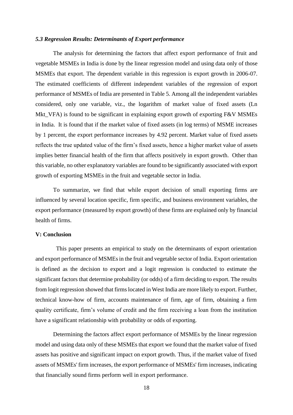### *5.3 Regression Results: Determinants of Export performance*

The analysis for determining the factors that affect export performance of fruit and vegetable MSMEs in India is done by the linear regression model and using data only of those MSMEs that export. The dependent variable in this regression is export growth in 2006-07. The estimated coefficients of different independent variables of the regression of export performance of MSMEs of India are presented in Table 5. Among all the independent variables considered, only one variable, viz., the logarithm of market value of fixed assets (Ln Mkt\_VFA) is found to be significant in explaining export growth of exporting F&V MSMEs in India. It is found that if the market value of fixed assets (in log terms) of MSME increases by 1 percent, the export performance increases by 4.92 percent. Market value of fixed assets reflects the true updated value of the firm's fixed assets, hence a higher market value of assets implies better financial health of the firm that affects positively in export growth. Other than this variable, no other explanatory variables are found to be significantly associated with export growth of exporting MSMEs in the fruit and vegetable sector in India.

To summarize, we find that while export decision of small exporting firms are influenced by several location specific, firm specific, and business environment variables, the export performance (measured by export growth) of these firms are explained only by financial health of firms.

### **V: Conclusion**

 This paper presents an empirical to study on the determinants of export orientation and export performance of MSMEs in the fruit and vegetable sector of India. Export orientation is defined as the decision to export and a logit regression is conducted to estimate the significant factors that determine probability (or odds) of a firm deciding to export. The results from logit regression showed that firms located in West India are more likely to export. Further, technical know-how of firm, accounts maintenance of firm, age of firm, obtaining a firm quality certificate, firm's volume of credit and the firm receiving a loan from the institution have a significant relationship with probability or odds of exporting.

Determining the factors affect export performance of MSMEs by the linear regression model and using data only of these MSMEs that export we found that the market value of fixed assets has positive and significant impact on export growth. Thus, if the market value of fixed assets of MSMEs' firm increases, the export performance of MSMEs' firm increases, indicating that financially sound firms perform well in export performance.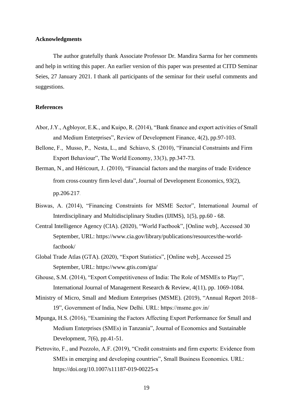### **Acknowledgments**

The author gratefully thank Associate Professor Dr. Mandira Sarma for her comments and help in writing this paper. An earlier version of this paper was presented at CITD Seminar Seies, 27 January 2021. I thank all participants of the seminar for their useful comments and suggestions.

### **References**

- Abor, J.Y., Agbloyor, E.K., and Kuipo, R. (2014), "Bank finance and export activities of Small and Medium Enterprises", Review of Development Finance, 4(2), pp.97-103.
- Bellone, F., Musso, P., Nesta, L., and Schiavo, S. (2010), "Financial Constraints and Firm Export Behaviour", The World Economy, 33(3), pp.347-73.
- Berman, N., and Héricourt, J.. (2010), "Financial factors and the margins of trade: Evidence from cross-country firm-level data", Journal of Development Economics, 93(2), pp.206-217.
- Biswas, A. (2014), "Financing Constraints for MSME Sector", International Journal of Interdisciplinary and Multidisciplinary Studies (IJIMS), 1(5), pp.60 - 68.
- Central Intelligence Agency (CIA). (2020), "World Factbook", [Online web], Accessed 30 September, URL: https://www.cia.gov/library/publications/resources/the-worldfactbook/
- Global Trade Atlas (GTA). (2020), "Export Statistics", [Online web], Accessed 25 September, URL: https://www.gtis.com/gta/
- Ghouse, S.M. (2014), "Export Competitiveness of India: The Role of MSMEs to Play!", International Journal of Management Research & Review, 4(11), pp. 1069-1084.
- Ministry of Micro, Small and Medium Enterprises (MSME). (2019), "Annual Report 2018– 19", Government of India, New Delhi. URL: https://msme.gov.in/
- Mpunga, H.S. (2016), "Examining the Factors Affecting Export Performance for Small and Medium Enterprises (SMEs) in Tanzania", Journal of Economics and Sustainable Development, 7(6), pp.41-51.
- Pietrovito, F., and Pozzolo, A.F. (2019), "Credit constraints and firm exports: Evidence from SMEs in emerging and developing countries", Small Business Economics. URL: https://doi.org/10.1007/s11187-019-00225-x